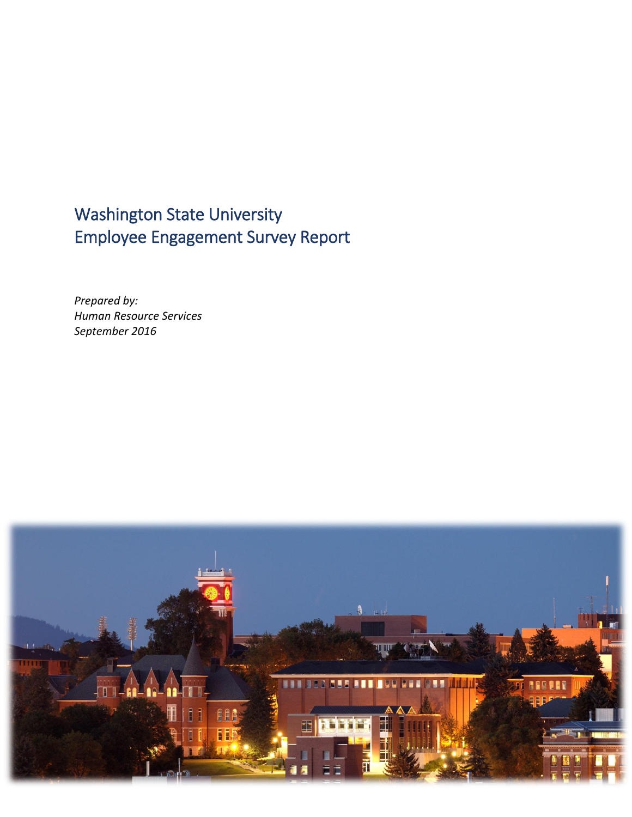# Washington State University Employee Engagement Survey Report

*Prepared by: Human Resource Services September 2016*

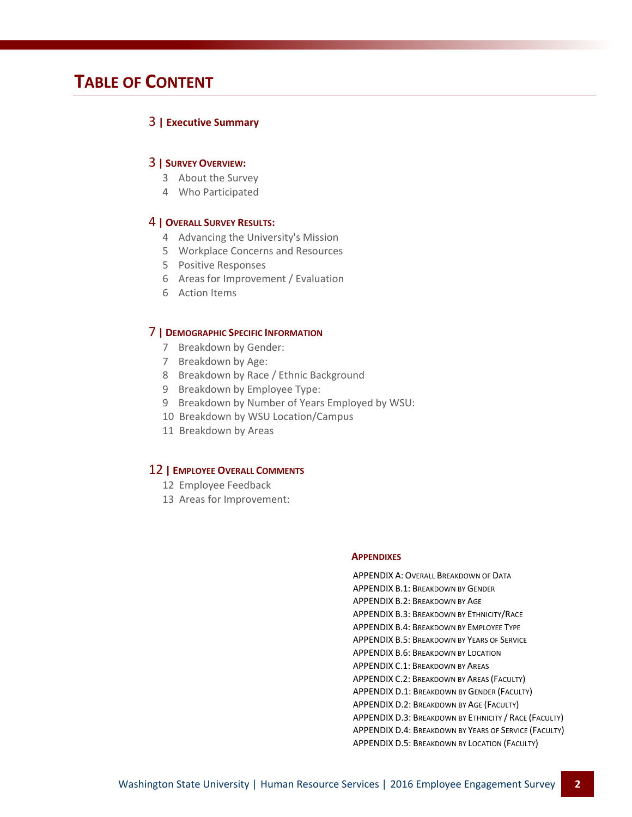# **TABLE OF CONTENT**

## 3 **| Executive Summary**

## 3 **| SURVEY OVERVIEW:**

- 3 About the Survey
- 4 Who Participated

## 4 **| OVERALL SURVEY RESULTS:**

- 4 Advancing the University's Mission
- 5 Workplace Concerns and Resources
- 5 Positive Responses
- 6 Areas for Improvement / Evaluation
- 6 Action Items

## 7 **| DEMOGRAPHIC SPECIFIC INFORMATION**

- 7 Breakdown by Gender:
- 7 Breakdown by Age:
- 8 Breakdown by Race / Ethnic Background
- 9 Breakdown by Employee Type:
- 9 Breakdown by Number of Years Employed by WSU:
- 10 Breakdown by WSU Location/Campus
- 11 Breakdown by Areas

## 12 **| EMPLOYEE OVERALL COMMENTS**

- 12 Employee Feedback
- 13 Areas for Improvement:

## **APPENDIXES**

[APPENDIX](http://hrs.wsu.edu/wp-content/uploads/2016/09/Final-Appendics_20142016-1.pdf#page=1) A: OVERALL BREAKDOWN OF DATA [APPENDIX](http://hrs.wsu.edu/wp-content/uploads/2016/09/Final-Appendics_20142016-1.pdf#page=2) B.1: BREAKDOWN BY GENDER [APPENDIX](http://hrs.wsu.edu/wp-content/uploads/2016/09/Final-Appendics_20142016-1.pdf#page=3) B.2: BREAKDOWN BY AGE [APPENDIX](http://hrs.wsu.edu/wp-content/uploads/2016/09/Final-Appendics_20142016-1.pdf#page=4) B.3: BREAKDOWN BY ETHNICITY/RACE [APPENDIX](http://hrs.wsu.edu/wp-content/uploads/2016/09/Final-Appendics_20142016-1.pdf#page=5) B.4: BREAKDOWN BY EMPLOYEE TYPE [APPENDIX](http://hrs.wsu.edu/wp-content/uploads/2016/09/Final-Appendics_20142016-1.pdf#page=6) B.5: BREAKDOWN BY YEARS OF SERVICE [APPENDIX](http://hrs.wsu.edu/wp-content/uploads/2016/09/Final-Appendics_20142016-1.pdf#page=7) B.6: BREAKDOWN BY LOCATION [APPENDIX](http://hrs.wsu.edu/wp-content/uploads/2016/09/Final-Appendics_20142016-1.pdf#page=8) C.1: BREAKDOWN BY AREAS [APPENDIX](http://hrs.wsu.edu/wp-content/uploads/2016/09/Final-Appendics_20142016-1.pdf#page=11) C.2: BREAKDOWN BY AREAS (FACULTY) [APPENDIX](http://hrs.wsu.edu/wp-content/uploads/2016/09/Final-Appendics_20142016-1.pdf#page=13) D.1: BREAKDOWN BY GENDER (FACULTY) [APPENDIX](http://hrs.wsu.edu/wp-content/uploads/2016/09/Final-Appendics_20142016-1.pdf#page=14) D.2: BREAKDOWN BY AGE (FACULTY) [APPENDIX](http://hrs.wsu.edu/wp-content/uploads/2016/09/Final-Appendics_20142016-1.pdf#page=15) D.3: BREAKDOWN BY ETHNICITY / RACE (FACULTY) [APPENDIX](http://hrs.wsu.edu/wp-content/uploads/2016/09/Final-Appendics_20142016-1.pdf#page=16) D.4: BREAKDOWN BY YEARS OF SERVICE (FACULTY) [APPENDIX](http://hrs.wsu.edu/wp-content/uploads/2016/09/Final-Appendics_20142016-1.pdf#page=17) D.5: BREAKDOWN BY LOCATION (FACULTY)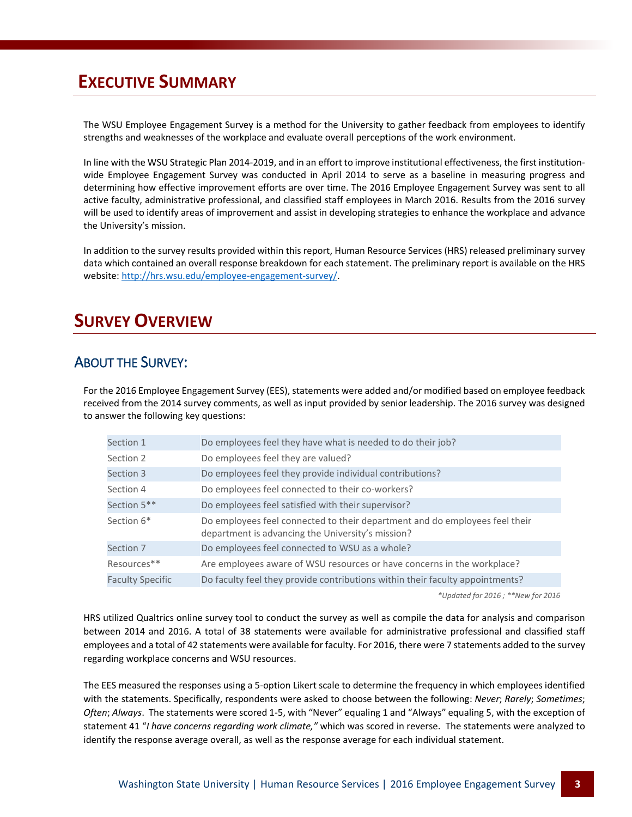# **EXECUTIVE SUMMARY**

The WSU Employee Engagement Survey is a method for the University to gather feedback from employees to identify strengths and weaknesses of the workplace and evaluate overall perceptions of the work environment.

In line with the WSU Strategic Plan 2014-2019, and in an effort to improve institutional effectiveness, the first institutionwide Employee Engagement Survey was conducted in April 2014 to serve as a baseline in measuring progress and determining how effective improvement efforts are over time. The 2016 Employee Engagement Survey was sent to all active faculty, administrative professional, and classified staff employees in March 2016. Results from the 2016 survey will be used to identify areas of improvement and assist in developing strategies to enhance the workplace and advance the University's mission.

In addition to the survey results provided within this report, Human Resource Services (HRS) released preliminary survey data which contained an overall response breakdown for each statement. The preliminary report is available on the HRS website: [http://hrs.wsu.edu/employee-engagement-survey/.](http://hrs.wsu.edu/employee-engagement-survey/)

# **SURVEY OVERVIEW**

# ABOUT THE SURVEY:

For the 2016 Employee Engagement Survey (EES), statements were added and/or modified based on employee feedback received from the 2014 survey comments, as well as input provided by senior leadership. The 2016 survey was designed to answer the following key questions:

| Section 1               | Do employees feel they have what is needed to do their job?                                                                      |
|-------------------------|----------------------------------------------------------------------------------------------------------------------------------|
| Section 2               | Do employees feel they are valued?                                                                                               |
| Section 3               | Do employees feel they provide individual contributions?                                                                         |
| Section 4               | Do employees feel connected to their co-workers?                                                                                 |
| Section 5**             | Do employees feel satisfied with their supervisor?                                                                               |
| Section 6*              | Do employees feel connected to their department and do employees feel their<br>department is advancing the University's mission? |
| Section 7               | Do employees feel connected to WSU as a whole?                                                                                   |
| Resources**             | Are employees aware of WSU resources or have concerns in the workplace?                                                          |
| <b>Faculty Specific</b> | Do faculty feel they provide contributions within their faculty appointments?                                                    |

*\*Updated for 2016 ; \*\*New for 2016*

HRS utilized Qualtrics online survey tool to conduct the survey as well as compile the data for analysis and comparison between 2014 and 2016. A total of 38 statements were available for administrative professional and classified staff employees and a total of 42 statements were available for faculty. For 2016, there were 7 statements added to the survey regarding workplace concerns and WSU resources.

The EES measured the responses using a 5-option Likert scale to determine the frequency in which employees identified with the statements. Specifically, respondents were asked to choose between the following: *Never*; *Rarely*; *Sometimes*; *Often*; *Always*. The statements were scored 1-5, with "Never" equaling 1 and "Always" equaling 5, with the exception of statement 41 "*I have concerns regarding work climate,"* which was scored in reverse. The statements were analyzed to identify the response average overall, as well as the response average for each individual statement.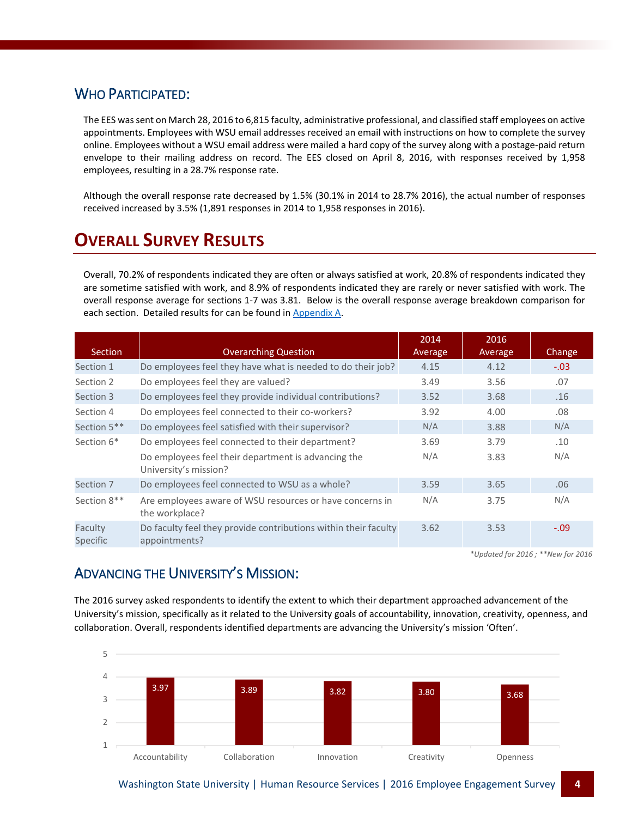## WHO PARTICIPATED:

The EES was sent on March 28, 2016 to 6,815 faculty, administrative professional, and classified staff employees on active appointments. Employees with WSU email addresses received an email with instructions on how to complete the survey online. Employees without a WSU email address were mailed a hard copy of the survey along with a postage-paid return envelope to their mailing address on record. The EES closed on April 8, 2016, with responses received by 1,958 employees, resulting in a 28.7% response rate.

Although the overall response rate decreased by 1.5% (30.1% in 2014 to 28.7% 2016), the actual number of responses received increased by 3.5% (1,891 responses in 2014 to 1,958 responses in 2016).

# **OVERALL SURVEY RESULTS**

Overall, 70.2% of respondents indicated they are often or always satisfied at work, 20.8% of respondents indicated they are sometime satisfied with work, and 8.9% of respondents indicated they are rarely or never satisfied with work. The overall response average for sections 1-7 was 3.81. Below is the overall response average breakdown comparison for each section. Detailed results for can be found in [Appendix A.](http://hrs.wsu.edu/wp-content/uploads/2016/09/Final-Appendics_20142016-1.pdf#page=1)

| <b>Section</b>      | <b>Overarching Question</b>                                                      | 2014<br>Average | 2016<br>Average | Change |
|---------------------|----------------------------------------------------------------------------------|-----------------|-----------------|--------|
| Section 1           | Do employees feel they have what is needed to do their job?                      | 4.15            | 4.12            | $-.03$ |
| Section 2           | Do employees feel they are valued?                                               | 3.49            | 3.56            | .07    |
| Section 3           | Do employees feel they provide individual contributions?                         | 3.52            | 3.68            | .16    |
| Section 4           | Do employees feel connected to their co-workers?                                 | 3.92            | 4.00            | .08    |
| Section 5**         | Do employees feel satisfied with their supervisor?                               | N/A             | 3.88            | N/A    |
| Section 6*          | Do employees feel connected to their department?                                 | 3.69            | 3.79            | .10    |
|                     | Do employees feel their department is advancing the<br>University's mission?     | N/A             | 3.83            | N/A    |
| Section 7           | Do employees feel connected to WSU as a whole?                                   | 3.59            | 3.65            | .06    |
| Section 8**         | Are employees aware of WSU resources or have concerns in<br>the workplace?       | N/A             | 3.75            | N/A    |
| Faculty<br>Specific | Do faculty feel they provide contributions within their faculty<br>appointments? | 3.62            | 3.53            | $-.09$ |

*\*Updated for 2016 ; \*\*New for 2016*

# ADVANCING THE UNIVERSITY'S MISSION:

The 2016 survey asked respondents to identify the extent to which their department approached advancement of the University's mission, specifically as it related to the University goals of accountability, innovation, creativity, openness, and collaboration. Overall, respondents identified departments are advancing the University's mission 'Often'.

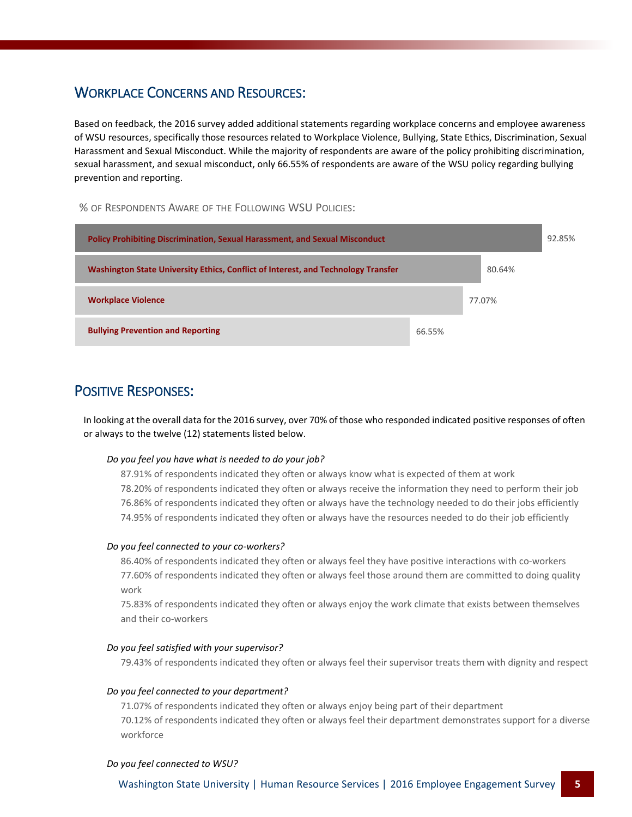# WORKPLACE CONCERNS AND RESOURCES:

Based on feedback, the 2016 survey added additional statements regarding workplace concerns and employee awareness of WSU resources, specifically those resources related to Workplace Violence, Bullying, State Ethics, Discrimination, Sexual Harassment and Sexual Misconduct. While the majority of respondents are aware of the policy prohibiting discrimination, sexual harassment, and sexual misconduct, only 66.55% of respondents are aware of the WSU policy regarding bullying prevention and reporting.

% OF RESPONDENTS AWARE OF THE FOLLOWING WSU POLICIES:



# POSITIVE RESPONSES:

In looking at the overall data for the 2016 survey, over 70% of those who responded indicated positive responses of often or always to the twelve (12) statements listed below.

## *Do you feel you have what is needed to do your job?*

87.91% of respondents indicated they often or always know what is expected of them at work 78.20% of respondents indicated they often or always receive the information they need to perform their job 76.86% of respondents indicated they often or always have the technology needed to do their jobs efficiently 74.95% of respondents indicated they often or always have the resources needed to do their job efficiently

## *Do you feel connected to your co-workers?*

86.40% of respondents indicated they often or always feel they have positive interactions with co-workers 77.60% of respondents indicated they often or always feel those around them are committed to doing quality work

75.83% of respondents indicated they often or always enjoy the work climate that exists between themselves and their co-workers

## *Do you feel satisfied with your supervisor?*

79.43% of respondents indicated they often or always feel their supervisor treats them with dignity and respect

## *Do you feel connected to your department?*

71.07% of respondents indicated they often or always enjoy being part of their department 70.12% of respondents indicated they often or always feel their department demonstrates support for a diverse workforce

## *Do you feel connected to WSU?*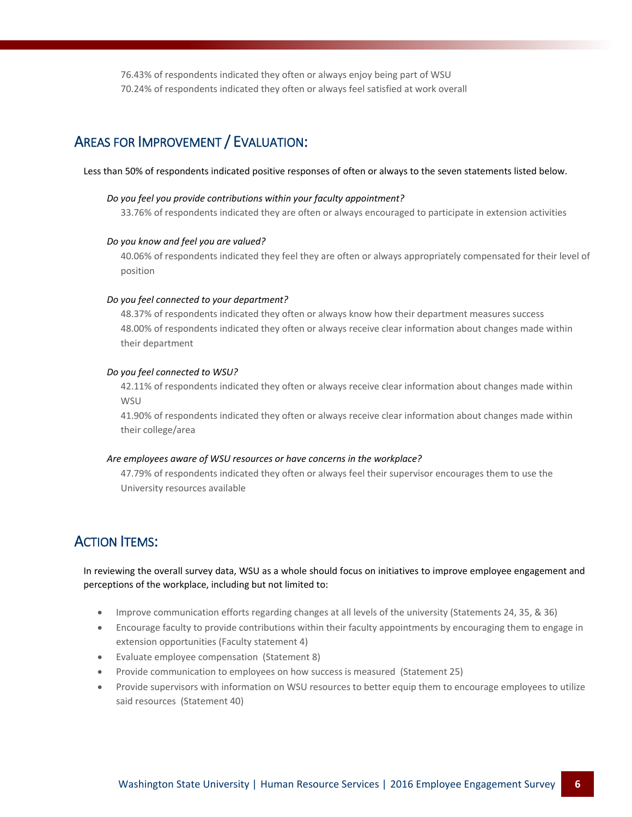76.43% of respondents indicated they often or always enjoy being part of WSU 70.24% of respondents indicated they often or always feel satisfied at work overall

# AREAS FOR IMPROVEMENT / EVALUATION:

## Less than 50% of respondents indicated positive responses of often or always to the seven statements listed below.

## *Do you feel you provide contributions within your faculty appointment?*

33.76% of respondents indicated they are often or always encouraged to participate in extension activities

## *Do you know and feel you are valued?*

40.06% of respondents indicated they feel they are often or always appropriately compensated for their level of position

## *Do you feel connected to your department?*

48.37% of respondents indicated they often or always know how their department measures success 48.00% of respondents indicated they often or always receive clear information about changes made within their department

## *Do you feel connected to WSU?*

42.11% of respondents indicated they often or always receive clear information about changes made within **WSU** 

41.90% of respondents indicated they often or always receive clear information about changes made within their college/area

## *Are employees aware of WSU resources or have concerns in the workplace?*

47.79% of respondents indicated they often or always feel their supervisor encourages them to use the University resources available

## **ACTION ITEMS:**

In reviewing the overall survey data, WSU as a whole should focus on initiatives to improve employee engagement and perceptions of the workplace, including but not limited to:

- Improve communication efforts regarding changes at all levels of the university (Statements 24, 35, & 36)
- Encourage faculty to provide contributions within their faculty appointments by encouraging them to engage in extension opportunities (Faculty statement 4)
- Evaluate employee compensation (Statement 8)
- Provide communication to employees on how success is measured (Statement 25)
- Provide supervisors with information on WSU resources to better equip them to encourage employees to utilize said resources (Statement 40)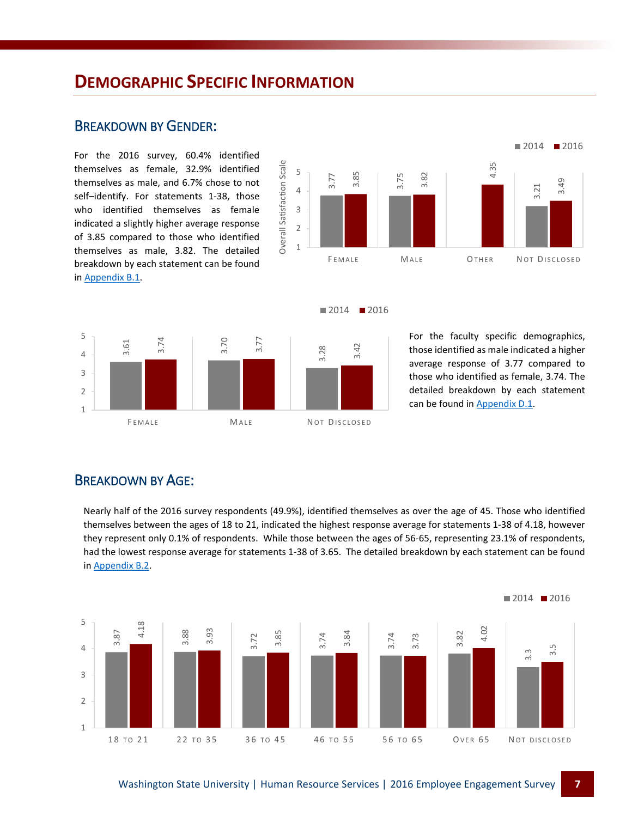# **DEMOGRAPHIC SPECIFIC INFORMATION**

## BREAKDOWN BY GENDER:

For the 2016 survey, 60.4% identified themselves as female, 32.9% identified themselves as male, and 6.7% chose to not self–identify. For statements 1-38, those who identified themselves as female indicated a slightly higher average response of 3.85 compared to those who identified themselves as male, 3.82. The detailed breakdown by each statement can be found in [Appendix B.1.](http://hrs.wsu.edu/wp-content/uploads/2016/09/Final-Appendics_20142016-1.pdf#page=2)







For the faculty specific demographics, those identified as male indicated a higher average response of 3.77 compared to those who identified as female, 3.74. The detailed breakdown by each statement can be found i[n Appendix D.1.](http://hrs.wsu.edu/wp-content/uploads/2016/09/Final-Appendics_20142016-1.pdf#page=13)

## BREAKDOWN BY AGE:

Nearly half of the 2016 survey respondents (49.9%), identified themselves as over the age of 45. Those who identified themselves between the ages of 18 to 21, indicated the highest response average for statements 1-38 of 4.18, however they represent only 0.1% of respondents. While those between the ages of 56-65, representing 23.1% of respondents, had the lowest response average for statements 1-38 of 3.65. The detailed breakdown by each statement can be found in [Appendix B.2.](http://hrs.wsu.edu/wp-content/uploads/2016/09/Final-Appendics_20142016-1.pdf#page=3)

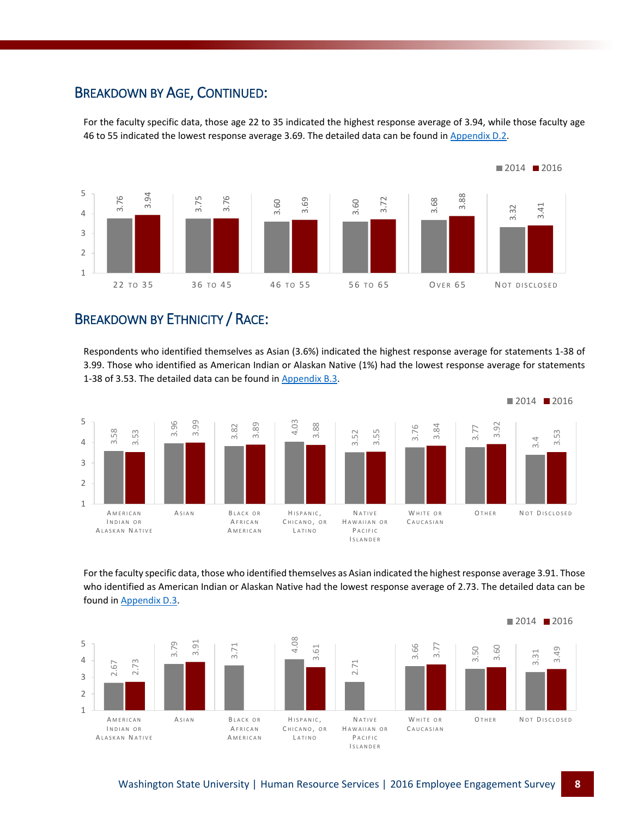## BREAKDOWN BY AGE, CONTINUED:

For the faculty specific data, those age 22 to 35 indicated the highest response average of 3.94, while those faculty age 46 to 55 indicated the lowest response average 3.69. The detailed data can be found i[n Appendix D.2.](http://hrs.wsu.edu/wp-content/uploads/2016/09/Final-Appendics_20142016-1.pdf#page=14)



# BREAKDOWN BY ETHNICITY / RACE:

Respondents who identified themselves as Asian (3.6%) indicated the highest response average for statements 1-38 of 3.99. Those who identified as American Indian or Alaskan Native (1%) had the lowest response average for statements 1-38 of 3.53. The detailed data can be found in [Appendix B.3.](http://hrs.wsu.edu/wp-content/uploads/2016/09/Final-Appendics_20142016-1.pdf#page=4)



For the faculty specific data, those who identified themselves as Asian indicated the highest response average 3.91. Those who identified as American Indian or Alaskan Native had the lowest response average of 2.73. The detailed data can be

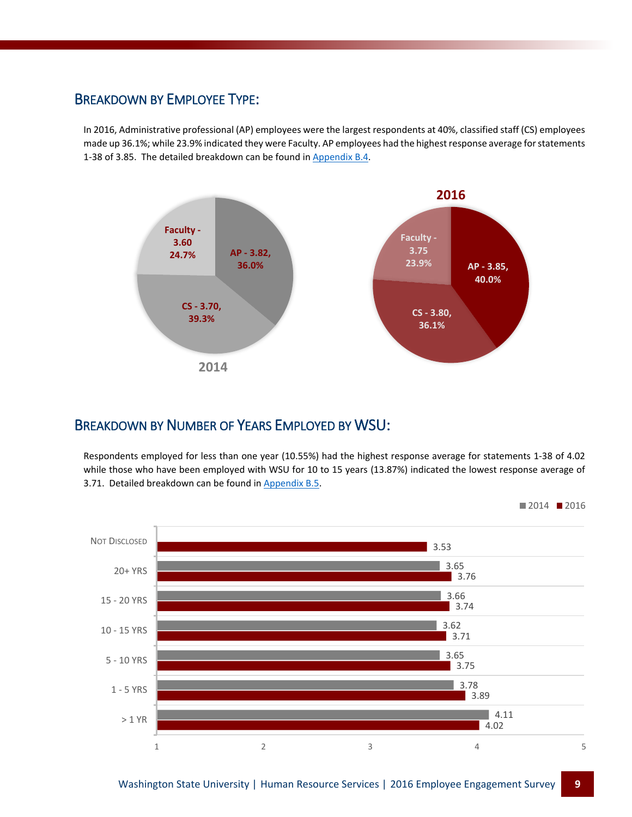## BREAKDOWN BY EMPLOYEE TYPE:

In 2016, Administrative professional (AP) employees were the largest respondents at 40%, classified staff (CS) employees made up 36.1%; while 23.9% indicated they were Faculty. AP employees had the highest response average for statements 1-38 of 3.85. The detailed breakdown can be found in [Appendix B.4.](http://hrs.wsu.edu/wp-content/uploads/2016/09/Final-Appendics_20142016-1.pdf#page=5)



## BREAKDOWN BY NUMBER OF YEARS EMPLOYED BY WSU:

Respondents employed for less than one year (10.55%) had the highest response average for statements 1-38 of 4.02 while those who have been employed with WSU for 10 to 15 years (13.87%) indicated the lowest response average of 3.71. Detailed breakdown can be found i[n Appendix B.5.](http://hrs.wsu.edu/wp-content/uploads/2016/09/Final-Appendics_20142016-1.pdf#page=6)

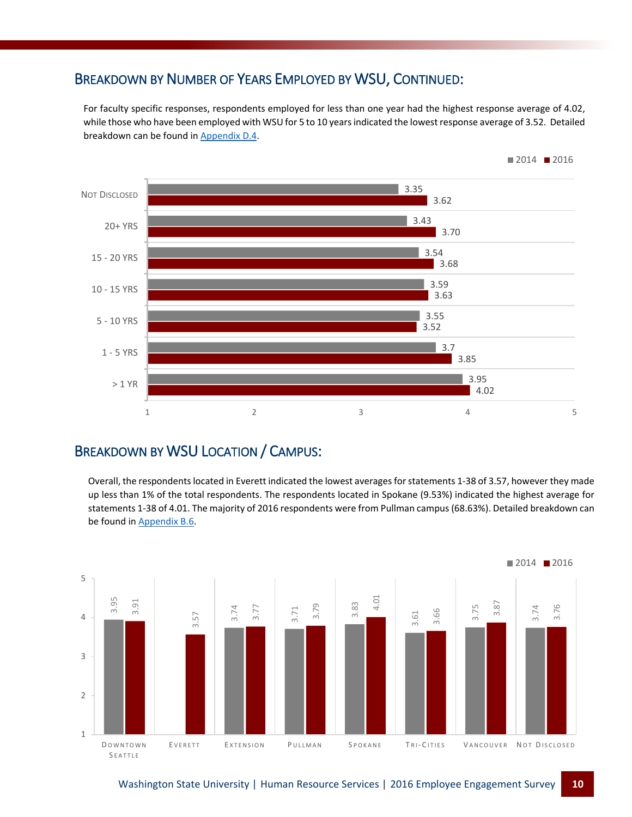# BREAKDOWN BY NUMBER OF YEARS EMPLOYED BY WSU, CONTINUED:

For faculty specific responses, respondents employed for less than one year had the highest response average of 4.02, while those who have been employed with WSU for 5 to 10 years indicated the lowest response average of 3.52. Detailed breakdown can be found i[n Appendix D.4.](http://hrs.wsu.edu/wp-content/uploads/2016/09/Final-Appendics_20142016-1.pdf#page=16)



# BREAKDOWN BY WSU LOCATION / CAMPUS:

Overall, the respondents located in Everett indicated the lowest averages for statements 1-38 of 3.57, however they made up less than 1% of the total respondents. The respondents located in Spokane (9.53%) indicated the highest average for statements 1-38 of 4.01. The majority of 2016 respondents were from Pullman campus (68.63%). Detailed breakdown can be found in [Appendix B.6.](http://hrs.wsu.edu/wp-content/uploads/2016/09/Final-Appendics_20142016-1.pdf#page=7)

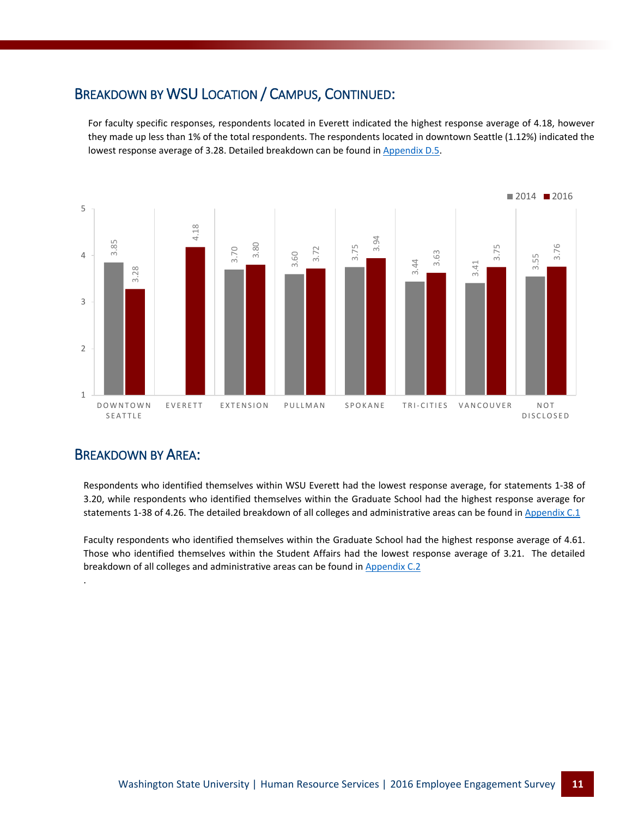# BREAKDOWN BY WSU LOCATION / CAMPUS, CONTINUED:

For faculty specific responses, respondents located in Everett indicated the highest response average of 4.18, however they made up less than 1% of the total respondents. The respondents located in downtown Seattle (1.12%) indicated the lowest response average of 3.28. Detailed breakdown can be found i[n Appendix D.5.](http://hrs.wsu.edu/wp-content/uploads/2016/09/Final-Appendics_20142016-1.pdf#page=17)



## BREAKDOWN BY AREA:

.

Respondents who identified themselves within WSU Everett had the lowest response average, for statements 1-38 of 3.20, while respondents who identified themselves within the Graduate School had the highest response average for statements 1-38 of 4.26. The detailed breakdown of all colleges and administrative areas can be found i[n Appendix C.1](http://hrs.wsu.edu/wp-content/uploads/2016/09/Final-Appendics_20142016-1.pdf#page=8)

Faculty respondents who identified themselves within the Graduate School had the highest response average of 4.61. Those who identified themselves within the Student Affairs had the lowest response average of 3.21. The detailed breakdown of all colleges and administrative areas can be found in [Appendix C.2](http://hrs.wsu.edu/wp-content/uploads/2016/09/Final-Appendics_20142016-1.pdf#page=11)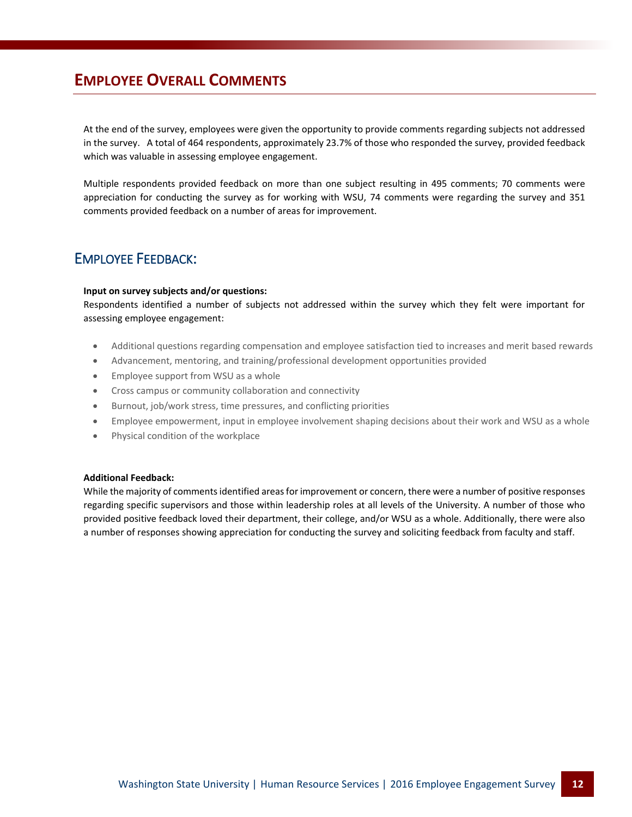# **EMPLOYEE OVERALL COMMENTS**

At the end of the survey, employees were given the opportunity to provide comments regarding subjects not addressed in the survey. A total of 464 respondents, approximately 23.7% of those who responded the survey, provided feedback which was valuable in assessing employee engagement.

Multiple respondents provided feedback on more than one subject resulting in 495 comments; 70 comments were appreciation for conducting the survey as for working with WSU, 74 comments were regarding the survey and 351 comments provided feedback on a number of areas for improvement.

## EMPLOYEE FEEDBACK:

## **Input on survey subjects and/or questions:**

Respondents identified a number of subjects not addressed within the survey which they felt were important for assessing employee engagement:

- Additional questions regarding compensation and employee satisfaction tied to increases and merit based rewards
- Advancement, mentoring, and training/professional development opportunities provided
- Employee support from WSU as a whole
- Cross campus or community collaboration and connectivity
- Burnout, job/work stress, time pressures, and conflicting priorities
- Employee empowerment, input in employee involvement shaping decisions about their work and WSU as a whole
- Physical condition of the workplace

## **Additional Feedback:**

While the majority of comments identified areas for improvement or concern, there were a number of positive responses regarding specific supervisors and those within leadership roles at all levels of the University. A number of those who provided positive feedback loved their department, their college, and/or WSU as a whole. Additionally, there were also a number of responses showing appreciation for conducting the survey and soliciting feedback from faculty and staff.